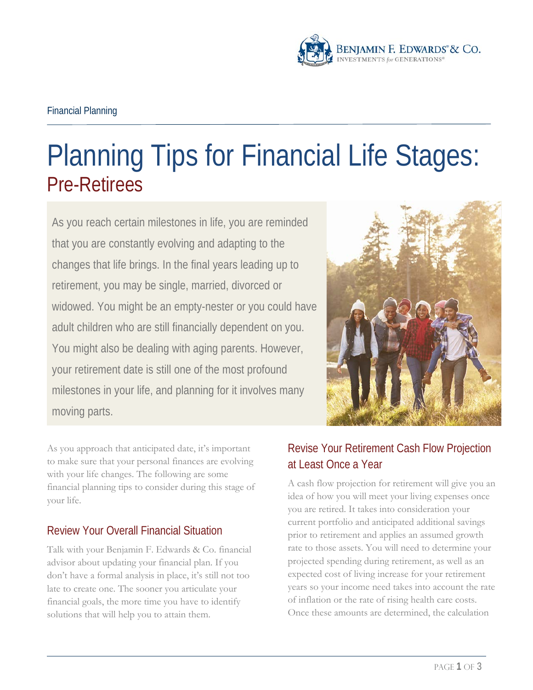

# Planning Tips for Financial Life Stages: Pre-Retirees

As you reach certain milestones in life, you are reminded that you are constantly evolving and adapting to the changes that life brings. In the final years leading up to retirement, you may be single, married, divorced or widowed. You might be an empty-nester or you could have adult children who are still financially dependent on you. You might also be dealing with aging parents. However, your retirement date is still one of the most profound milestones in your life, and planning for it involves many moving parts.



As you approach that anticipated date, it's important to make sure that your personal finances are evolving with your life changes. The following are some financial planning tips to consider during this stage of your life.

# Review Your Overall Financial Situation

Talk with your Benjamin F. Edwards & Co. financial advisor about updating your financial plan. If you don't have a formal analysis in place, it's still not too late to create one. The sooner you articulate your financial goals, the more time you have to identify solutions that will help you to attain them.

# Revise Your Retirement Cash Flow Projection at Least Once a Year

A cash flow projection for retirement will give you an idea of how you will meet your living expenses once you are retired. It takes into consideration your current portfolio and anticipated additional savings prior to retirement and applies an assumed growth rate to those assets. You will need to determine your projected spending during retirement, as well as an expected cost of living increase for your retirement years so your income need takes into account the rate of inflation or the rate of rising health care costs. Once these amounts are determined, the calculation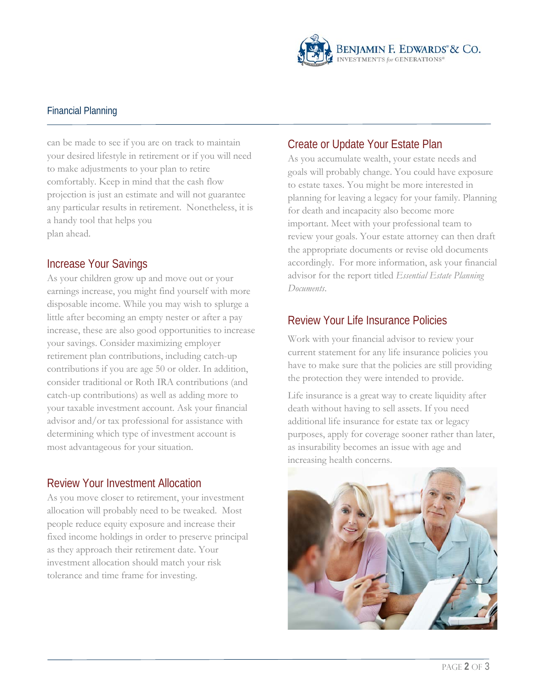

#### Financial Planning

can be made to see if you are on track to maintain your desired lifestyle in retirement or if you will need to make adjustments to your plan to retire comfortably. Keep in mind that the cash flow projection is just an estimate and will not guarantee any particular results in retirement. Nonetheless, it is a handy tool that helps you plan ahead.

#### Increase Your Savings

As your children grow up and move out or your earnings increase, you might find yourself with more disposable income. While you may wish to splurge a little after becoming an empty nester or after a pay increase, these are also good opportunities to increase your savings. Consider maximizing employer retirement plan contributions, including catch-up contributions if you are age 50 or older. In addition, consider traditional or Roth IRA contributions (and catch-up contributions) as well as adding more to your taxable investment account. Ask your financial advisor and/or tax professional for assistance with determining which type of investment account is most advantageous for your situation.

## Review Your Investment Allocation

As you move closer to retirement, your investment allocation will probably need to be tweaked. Most people reduce equity exposure and increase their fixed income holdings in order to preserve principal as they approach their retirement date. Your investment allocation should match your risk tolerance and time frame for investing.

# Create or Update Your Estate Plan

As you accumulate wealth, your estate needs and goals will probably change. You could have exposure to estate taxes. You might be more interested in planning for leaving a legacy for your family. Planning for death and incapacity also become more important. Meet with your professional team to review your goals. Your estate attorney can then draft the appropriate documents or revise old documents accordingly. For more information, ask your financial advisor for the report titled *Essential Estate Planning Documents*.

# Review Your Life Insurance Policies

Work with your financial advisor to review your current statement for any life insurance policies you have to make sure that the policies are still providing the protection they were intended to provide.

Life insurance is a great way to create liquidity after death without having to sell assets. If you need additional life insurance for estate tax or legacy purposes, apply for coverage sooner rather than later, as insurability becomes an issue with age and increasing health concerns.